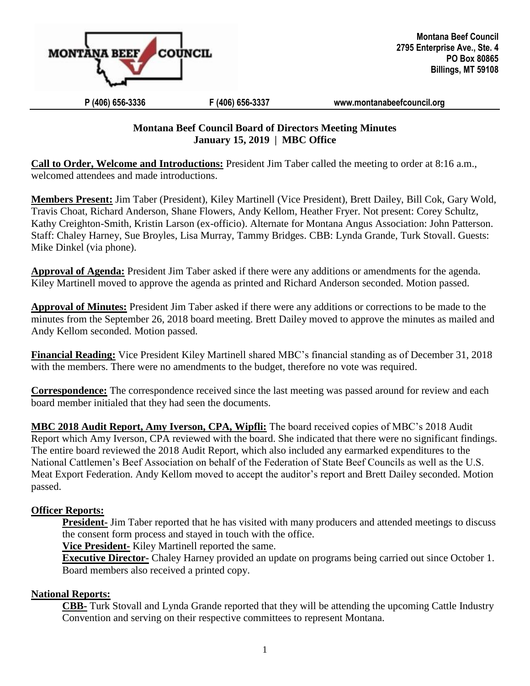

#### **P (406) 656-3336 F (406) 656-3337 [www.montanabeefcouncil.org](http://www.montanabeefcouncil.org/)**

# **Montana Beef Council Board of Directors Meeting Minutes January 15, 2019 | MBC Office**

**Call to Order, Welcome and Introductions:** President Jim Taber called the meeting to order at 8:16 a.m., welcomed attendees and made introductions.

**Members Present:** Jim Taber (President), Kiley Martinell (Vice President), Brett Dailey, Bill Cok, Gary Wold, Travis Choat, Richard Anderson, Shane Flowers, Andy Kellom, Heather Fryer. Not present: Corey Schultz, Kathy Creighton-Smith, Kristin Larson (ex-officio). Alternate for Montana Angus Association: John Patterson. Staff: Chaley Harney, Sue Broyles, Lisa Murray, Tammy Bridges. CBB: Lynda Grande, Turk Stovall. Guests: Mike Dinkel (via phone).

**Approval of Agenda:** President Jim Taber asked if there were any additions or amendments for the agenda. Kiley Martinell moved to approve the agenda as printed and Richard Anderson seconded. Motion passed.

**Approval of Minutes:** President Jim Taber asked if there were any additions or corrections to be made to the minutes from the September 26, 2018 board meeting. Brett Dailey moved to approve the minutes as mailed and Andy Kellom seconded. Motion passed.

**Financial Reading:** Vice President Kiley Martinell shared MBC's financial standing as of December 31, 2018 with the members. There were no amendments to the budget, therefore no vote was required.

**Correspondence:** The correspondence received since the last meeting was passed around for review and each board member initialed that they had seen the documents.

**MBC 2018 Audit Report, Amy Iverson, CPA, Wipfli:** The board received copies of MBC's 2018 Audit Report which Amy Iverson, CPA reviewed with the board. She indicated that there were no significant findings. The entire board reviewed the 2018 Audit Report, which also included any earmarked expenditures to the National Cattlemen's Beef Association on behalf of the Federation of State Beef Councils as well as the U.S. Meat Export Federation. Andy Kellom moved to accept the auditor's report and Brett Dailey seconded. Motion passed.

# **Officer Reports:**

**President-** Jim Taber reported that he has visited with many producers and attended meetings to discuss the consent form process and stayed in touch with the office.

**Vice President-** Kiley Martinell reported the same.

**Executive Director-** Chaley Harney provided an update on programs being carried out since October 1. Board members also received a printed copy.

# **National Reports:**

**CBB-** Turk Stovall and Lynda Grande reported that they will be attending the upcoming Cattle Industry Convention and serving on their respective committees to represent Montana.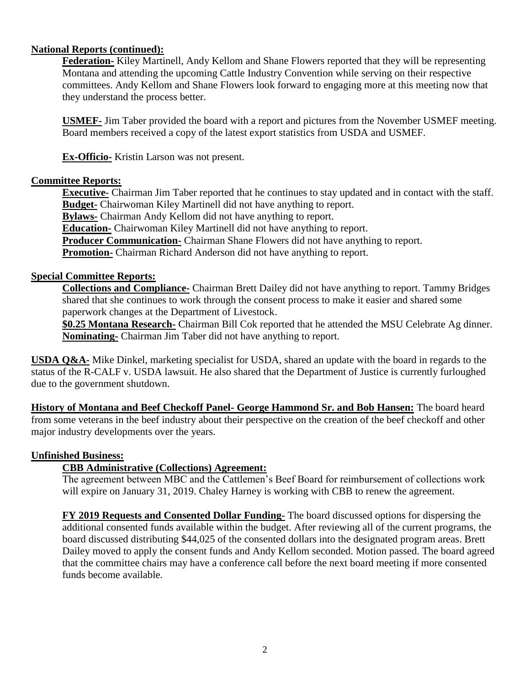### **National Reports (continued):**

**Federation-** Kiley Martinell, Andy Kellom and Shane Flowers reported that they will be representing Montana and attending the upcoming Cattle Industry Convention while serving on their respective committees. Andy Kellom and Shane Flowers look forward to engaging more at this meeting now that they understand the process better.

**USMEF-** Jim Taber provided the board with a report and pictures from the November USMEF meeting. Board members received a copy of the latest export statistics from USDA and USMEF.

**Ex-Officio-** Kristin Larson was not present.

#### **Committee Reports:**

**Executive-** Chairman Jim Taber reported that he continues to stay updated and in contact with the staff. **Budget-** Chairwoman Kiley Martinell did not have anything to report. **Bylaws-** Chairman Andy Kellom did not have anything to report. **Education-** Chairwoman Kiley Martinell did not have anything to report. **Producer Communication-** Chairman Shane Flowers did not have anything to report. **Promotion-** Chairman Richard Anderson did not have anything to report.

### **Special Committee Reports:**

**Collections and Compliance-** Chairman Brett Dailey did not have anything to report. Tammy Bridges shared that she continues to work through the consent process to make it easier and shared some paperwork changes at the Department of Livestock.

**\$0.25 Montana Research-** Chairman Bill Cok reported that he attended the MSU Celebrate Ag dinner. **Nominating-** Chairman Jim Taber did not have anything to report.

**USDA Q&A-** Mike Dinkel, marketing specialist for USDA, shared an update with the board in regards to the status of the R-CALF v. USDA lawsuit. He also shared that the Department of Justice is currently furloughed due to the government shutdown.

**History of Montana and Beef Checkoff Panel- George Hammond Sr. and Bob Hansen:** The board heard from some veterans in the beef industry about their perspective on the creation of the beef checkoff and other major industry developments over the years.

#### **Unfinished Business:**

### **CBB Administrative (Collections) Agreement:**

The agreement between MBC and the Cattlemen's Beef Board for reimbursement of collections work will expire on January 31, 2019. Chaley Harney is working with CBB to renew the agreement.

**FY 2019 Requests and Consented Dollar Funding-** The board discussed options for dispersing the additional consented funds available within the budget. After reviewing all of the current programs, the board discussed distributing \$44,025 of the consented dollars into the designated program areas. Brett Dailey moved to apply the consent funds and Andy Kellom seconded. Motion passed. The board agreed that the committee chairs may have a conference call before the next board meeting if more consented funds become available.